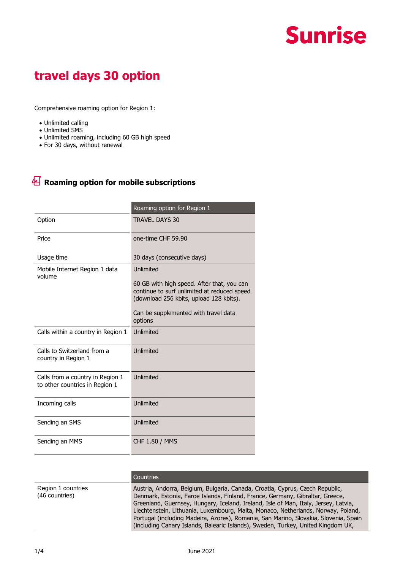## **Sunrise**

## **travel days 30 option**

Comprehensive roaming option for Region 1:

- Unlimited calling
- Unlimited SMS
- Unlimited roaming, including 60 GB high speed
- For 30 days, without renewal

## **Roaming option for mobile subscriptions**

|                                                                    | Roaming option for Region 1                                                                                                                                                                          |
|--------------------------------------------------------------------|------------------------------------------------------------------------------------------------------------------------------------------------------------------------------------------------------|
| Option                                                             | <b>TRAVEL DAYS 30</b>                                                                                                                                                                                |
| Price                                                              | one-time CHF 59.90                                                                                                                                                                                   |
| Usage time                                                         | 30 days (consecutive days)                                                                                                                                                                           |
| Mobile Internet Region 1 data<br>volume                            | Unlimited<br>60 GB with high speed. After that, you can<br>continue to surf unlimited at reduced speed<br>(download 256 kbits, upload 128 kbits).<br>Can be supplemented with travel data<br>options |
| Calls within a country in Region 1                                 | Unlimited                                                                                                                                                                                            |
|                                                                    |                                                                                                                                                                                                      |
| Calls to Switzerland from a<br>country in Region 1                 | Unlimited                                                                                                                                                                                            |
| Calls from a country in Region 1<br>to other countries in Region 1 | Unlimited                                                                                                                                                                                            |
| Incoming calls                                                     | Unlimited                                                                                                                                                                                            |
| Sending an SMS                                                     | Unlimited                                                                                                                                                                                            |
| Sending an MMS                                                     | <b>CHF 1.80 / MMS</b>                                                                                                                                                                                |

|                                      | <b>Countries</b>                                                                                                                                                                                                                                                                                                                                                                                                                                                                                                       |
|--------------------------------------|------------------------------------------------------------------------------------------------------------------------------------------------------------------------------------------------------------------------------------------------------------------------------------------------------------------------------------------------------------------------------------------------------------------------------------------------------------------------------------------------------------------------|
| Region 1 countries<br>(46 countries) | Austria, Andorra, Belgium, Bulgaria, Canada, Croatia, Cyprus, Czech Republic,<br>Denmark, Estonia, Faroe Islands, Finland, France, Germany, Gibraltar, Greece,<br>Greenland, Guernsey, Hungary, Iceland, Ireland, Isle of Man, Italy, Jersey, Latvia,<br>Liechtenstein, Lithuania, Luxembourg, Malta, Monaco, Netherlands, Norway, Poland,<br>Portugal (including Madeira, Azores), Romania, San Marino, Slovakia, Slovenia, Spain<br>(including Canary Islands, Balearic Islands), Sweden, Turkey, United Kingdom UK, |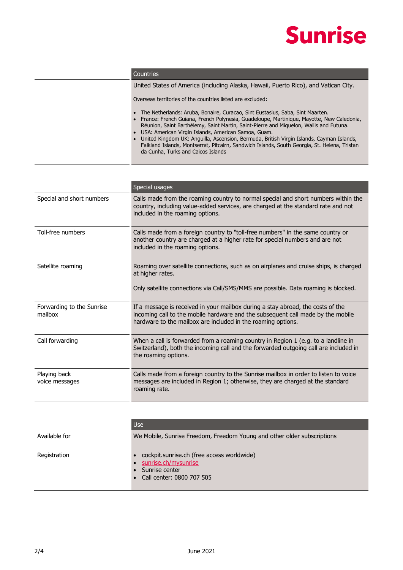

|  | Countries |  |
|--|-----------|--|
|--|-----------|--|

United States of America (including Alaska, Hawaii, Puerto Rico), and Vatican City.

Overseas territories of the countries listed are excluded:

- The Netherlands: Aruba, Bonaire, Curacao, Sint Eustasius, Saba, Sint Maarten.
- France: French Guiana, French Polynesia, Guadeloupe, Martinique, Mayotte, New Caledonia, Réunion, Saint Barthélemy, Saint Martin, Saint-Pierre and Miquelon, Wallis and Futuna. • USA: American Virgin Islands, American Samoa, Guam.
- United Kingdom UK: Anguilla, Ascension, Bermuda, British Virgin Islands, Cayman Islands, Falkland Islands, Montserrat, Pitcairn, Sandwich Islands, South Georgia, St. Helena, Tristan da Cunha, Turks and Caicos Islands

|                                      | Special usages                                                                                                                                                                                                                     |
|--------------------------------------|------------------------------------------------------------------------------------------------------------------------------------------------------------------------------------------------------------------------------------|
| Special and short numbers            | Calls made from the roaming country to normal special and short numbers within the<br>country, including value-added services, are charged at the standard rate and not<br>included in the roaming options.                        |
| Toll-free numbers                    | Calls made from a foreign country to "toll-free numbers" in the same country or<br>another country are charged at a higher rate for special numbers and are not<br>included in the roaming options.                                |
| Satellite roaming                    | Roaming over satellite connections, such as on airplanes and cruise ships, is charged<br>at higher rates.<br>Only satellite connections via Call/SMS/MMS are possible. Data roaming is blocked.                                    |
| Forwarding to the Sunrise<br>mailbox | If a message is received in your mailbox during a stay abroad, the costs of the<br>incoming call to the mobile hardware and the subsequent call made by the mobile<br>hardware to the mailbox are included in the roaming options. |
| Call forwarding                      | When a call is forwarded from a roaming country in Region 1 (e.g. to a landline in<br>Switzerland), both the incoming call and the forwarded outgoing call are included in<br>the roaming options.                                 |
| Playing back<br>voice messages       | Calls made from a foreign country to the Sunrise mailbox in order to listen to voice<br>messages are included in Region 1; otherwise, they are charged at the standard<br>roaming rate.                                            |

|               | <b>Use</b>                                                                                                          |
|---------------|---------------------------------------------------------------------------------------------------------------------|
| Available for | We Mobile, Sunrise Freedom, Freedom Young and other older subscriptions                                             |
| Registration  | cockpit.sunrise.ch (free access worldwide)<br>sunrise.ch/mysunrise<br>Sunrise center<br>• Call center: 0800 707 505 |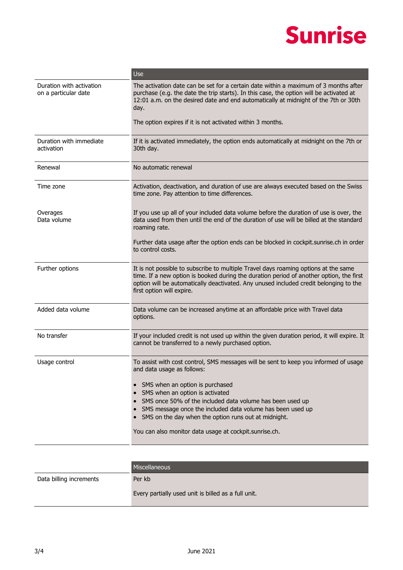## **Sunrise**

|                                                  | Use                                                                                                                                                                                                                                                                                                                                                                                                                                   |
|--------------------------------------------------|---------------------------------------------------------------------------------------------------------------------------------------------------------------------------------------------------------------------------------------------------------------------------------------------------------------------------------------------------------------------------------------------------------------------------------------|
| Duration with activation<br>on a particular date | The activation date can be set for a certain date within a maximum of 3 months after<br>purchase (e.g. the date the trip starts). In this case, the option will be activated at<br>12:01 a.m. on the desired date and end automatically at midnight of the 7th or 30th<br>day.                                                                                                                                                        |
|                                                  | The option expires if it is not activated within 3 months.                                                                                                                                                                                                                                                                                                                                                                            |
| Duration with immediate<br>activation            | If it is activated immediately, the option ends automatically at midnight on the 7th or<br>30th day.                                                                                                                                                                                                                                                                                                                                  |
| Renewal                                          | No automatic renewal                                                                                                                                                                                                                                                                                                                                                                                                                  |
| Time zone                                        | Activation, deactivation, and duration of use are always executed based on the Swiss<br>time zone. Pay attention to time differences.                                                                                                                                                                                                                                                                                                 |
| Overages<br>Data volume                          | If you use up all of your included data volume before the duration of use is over, the<br>data used from then until the end of the duration of use will be billed at the standard<br>roaming rate.                                                                                                                                                                                                                                    |
|                                                  | Further data usage after the option ends can be blocked in cockpit.sunrise.ch in order<br>to control costs.                                                                                                                                                                                                                                                                                                                           |
| Further options                                  | It is not possible to subscribe to multiple Travel days roaming options at the same<br>time. If a new option is booked during the duration period of another option, the first<br>option will be automatically deactivated. Any unused included credit belonging to the<br>first option will expire.                                                                                                                                  |
| Added data volume                                | Data volume can be increased anytime at an affordable price with Travel data<br>options.                                                                                                                                                                                                                                                                                                                                              |
| No transfer                                      | If your included credit is not used up within the given duration period, it will expire. It<br>cannot be transferred to a newly purchased option.                                                                                                                                                                                                                                                                                     |
| Usage control                                    | To assist with cost control, SMS messages will be sent to keep you informed of usage<br>and data usage as follows:<br>SMS when an option is purchased<br>SMS when an option is activated<br>SMS once 50% of the included data volume has been used up<br>SMS message once the included data volume has been used up<br>SMS on the day when the option runs out at midnight.<br>You can also monitor data usage at cockpit.sunrise.ch. |

|                         | <b>Miscellaneous</b>                                |
|-------------------------|-----------------------------------------------------|
| Data billing increments | Per kb                                              |
|                         | Every partially used unit is billed as a full unit. |